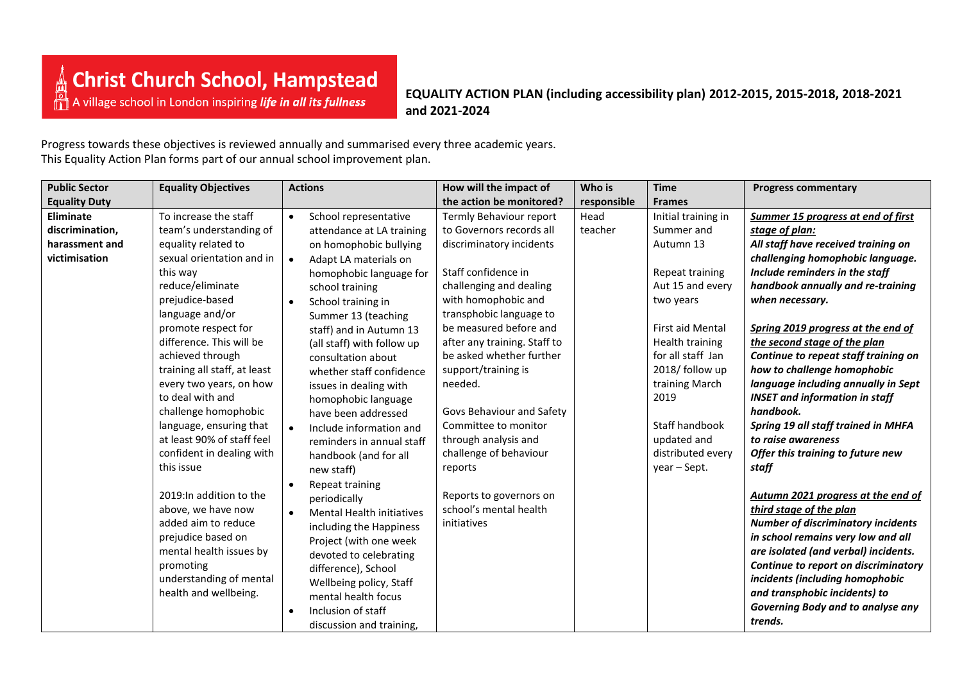**EQUALITY ACTION PLAN (including accessibility plan) 2012-2015, 2015-2018, 2018-2021 and 2021-2024**

Progress towards these objectives is reviewed annually and summarised every three academic years. This Equality Action Plan forms part of our annual school improvement plan.

| <b>Public Sector</b> | <b>Equality Objectives</b>   | <b>Actions</b>                     | How will the impact of       | Who is      | <b>Time</b>             | <b>Progress commentary</b>                |
|----------------------|------------------------------|------------------------------------|------------------------------|-------------|-------------------------|-------------------------------------------|
| <b>Equality Duty</b> |                              |                                    | the action be monitored?     | responsible | <b>Frames</b>           |                                           |
| Eliminate            | To increase the staff        | School representative<br>$\bullet$ | Termly Behaviour report      | Head        | Initial training in     | Summer 15 progress at end of first        |
| discrimination,      | team's understanding of      | attendance at LA training          | to Governors records all     | teacher     | Summer and              | stage of plan:                            |
| harassment and       | equality related to          | on homophobic bullying             | discriminatory incidents     |             | Autumn 13               | All staff have received training on       |
| victimisation        | sexual orientation and in    | Adapt LA materials on<br>$\bullet$ |                              |             |                         | challenging homophobic language.          |
|                      | this way                     | homophobic language for            | Staff confidence in          |             | Repeat training         | Include reminders in the staff            |
|                      | reduce/eliminate             | school training                    | challenging and dealing      |             | Aut 15 and every        | handbook annually and re-training         |
|                      | prejudice-based              | School training in                 | with homophobic and          |             | two years               | when necessary.                           |
|                      | language and/or              | Summer 13 (teaching                | transphobic language to      |             |                         |                                           |
|                      | promote respect for          | staff) and in Autumn 13            | be measured before and       |             | <b>First aid Mental</b> | Spring 2019 progress at the end of        |
|                      | difference. This will be     | (all staff) with follow up         | after any training. Staff to |             | Health training         | the second stage of the plan              |
|                      | achieved through             | consultation about                 | be asked whether further     |             | for all staff Jan       | Continue to repeat staff training on      |
|                      | training all staff, at least | whether staff confidence           | support/training is          |             | 2018/ follow up         | how to challenge homophobic               |
|                      | every two years, on how      | issues in dealing with             | needed.                      |             | training March          | language including annually in Sept       |
|                      | to deal with and             | homophobic language                |                              |             | 2019                    | <b>INSET and information in staff</b>     |
|                      | challenge homophobic         | have been addressed                | Govs Behaviour and Safety    |             |                         | handbook.                                 |
|                      | language, ensuring that      | Include information and            | Committee to monitor         |             | Staff handbook          | Spring 19 all staff trained in MHFA       |
|                      | at least 90% of staff feel   | reminders in annual staff          | through analysis and         |             | updated and             | to raise awareness                        |
|                      | confident in dealing with    | handbook (and for all              | challenge of behaviour       |             | distributed every       | Offer this training to future new         |
|                      | this issue                   | new staff)                         | reports                      |             | year - Sept.            | staff                                     |
|                      |                              | Repeat training                    |                              |             |                         |                                           |
|                      | 2019: In addition to the     | periodically                       | Reports to governors on      |             |                         | Autumn 2021 progress at the end of        |
|                      | above, we have now           | <b>Mental Health initiatives</b>   | school's mental health       |             |                         | third stage of the plan                   |
|                      | added aim to reduce          | including the Happiness            | initiatives                  |             |                         | <b>Number of discriminatory incidents</b> |
|                      | prejudice based on           | Project (with one week             |                              |             |                         | in school remains very low and all        |
|                      | mental health issues by      | devoted to celebrating             |                              |             |                         | are isolated (and verbal) incidents.      |
|                      | promoting                    | difference), School                |                              |             |                         | Continue to report on discriminatory      |
|                      | understanding of mental      | Wellbeing policy, Staff            |                              |             |                         | incidents (including homophobic           |
|                      | health and wellbeing.        | mental health focus                |                              |             |                         | and transphobic incidents) to             |
|                      |                              | Inclusion of staff                 |                              |             |                         | Governing Body and to analyse any         |
|                      |                              | discussion and training,           |                              |             |                         | trends.                                   |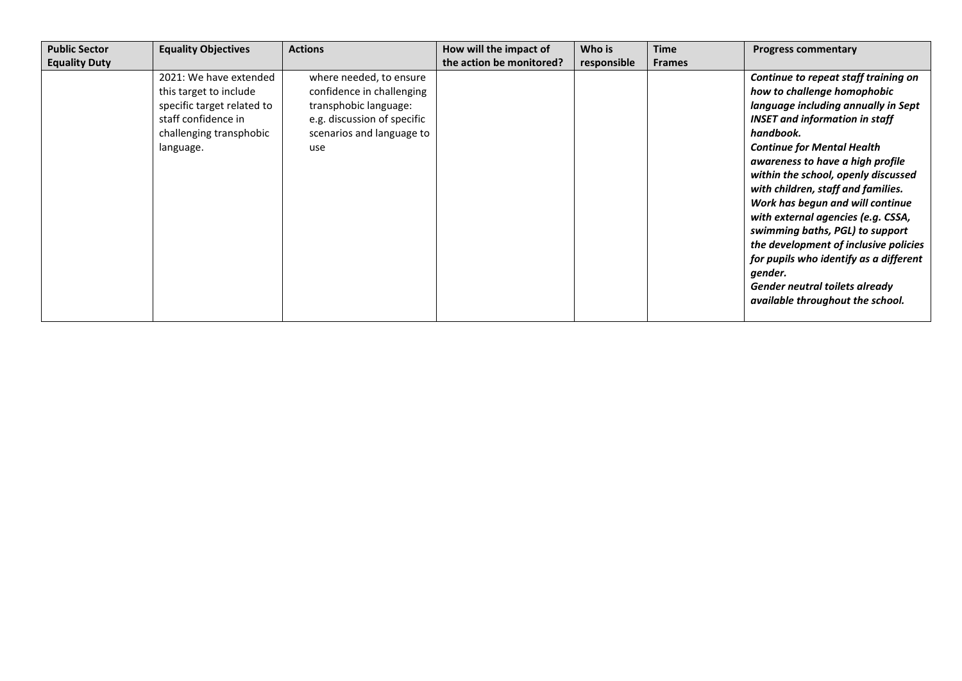| <b>Public Sector</b> | <b>Equality Objectives</b>                                                                                                                    | <b>Actions</b>                                                                                                                                   | How will the impact of   | Who is      | Time          | <b>Progress commentary</b>                                                                                                                                                                                                                                                                                                                                                                                                                                                                                                                                                                              |
|----------------------|-----------------------------------------------------------------------------------------------------------------------------------------------|--------------------------------------------------------------------------------------------------------------------------------------------------|--------------------------|-------------|---------------|---------------------------------------------------------------------------------------------------------------------------------------------------------------------------------------------------------------------------------------------------------------------------------------------------------------------------------------------------------------------------------------------------------------------------------------------------------------------------------------------------------------------------------------------------------------------------------------------------------|
| <b>Equality Duty</b> |                                                                                                                                               |                                                                                                                                                  | the action be monitored? | responsible | <b>Frames</b> |                                                                                                                                                                                                                                                                                                                                                                                                                                                                                                                                                                                                         |
|                      | 2021: We have extended<br>this target to include<br>specific target related to<br>staff confidence in<br>challenging transphobic<br>language. | where needed, to ensure<br>confidence in challenging<br>transphobic language:<br>e.g. discussion of specific<br>scenarios and language to<br>use |                          |             |               | Continue to repeat staff training on<br>how to challenge homophobic<br>language including annually in Sept<br><b>INSET and information in staff</b><br>handbook.<br><b>Continue for Mental Health</b><br>awareness to have a high profile<br>within the school, openly discussed<br>with children, staff and families.<br>Work has begun and will continue<br>with external agencies (e.g. CSSA,<br>swimming baths, PGL) to support<br>the development of inclusive policies<br>for pupils who identify as a different<br>gender.<br>Gender neutral toilets already<br>available throughout the school. |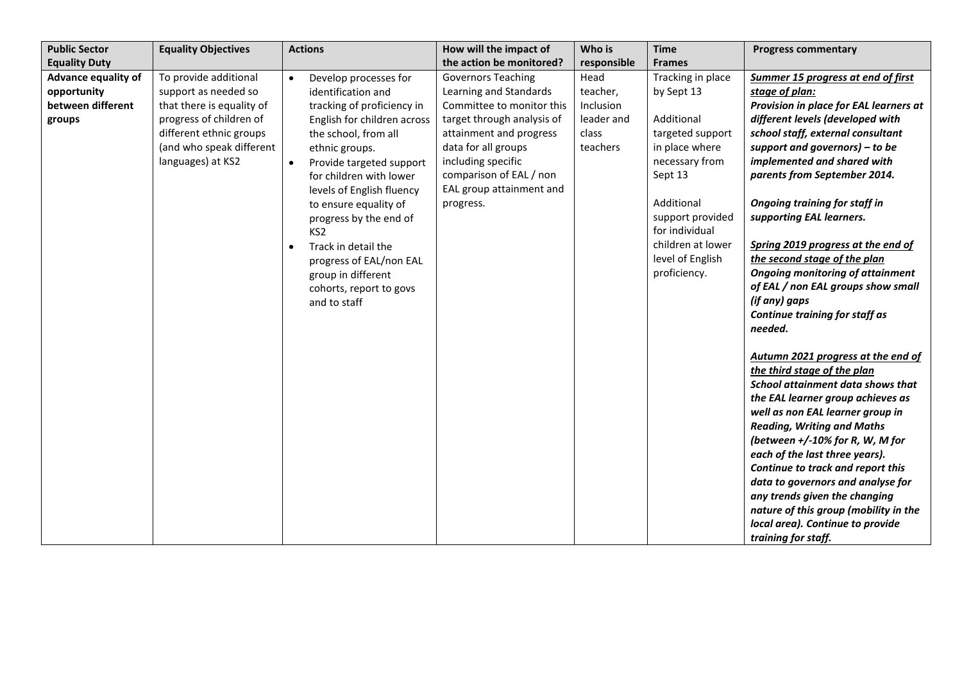| <b>Public Sector</b>                                              | <b>Equality Objectives</b>                                                                                                                                                        | <b>Actions</b>                                                                                                                                                                                                                                                                                                                                                                                                                                                         | How will the impact of                                                                                                                                                                                                                                     | Who is                                                           | <b>Time</b>                                                                                                                                                                                                                   | <b>Progress commentary</b>                                                                                                                                                                                                                                                                                                                                                                                                                                                                                                                                                                                                                                                                                                                                                                                                                                                                                                                                                                                                                                  |
|-------------------------------------------------------------------|-----------------------------------------------------------------------------------------------------------------------------------------------------------------------------------|------------------------------------------------------------------------------------------------------------------------------------------------------------------------------------------------------------------------------------------------------------------------------------------------------------------------------------------------------------------------------------------------------------------------------------------------------------------------|------------------------------------------------------------------------------------------------------------------------------------------------------------------------------------------------------------------------------------------------------------|------------------------------------------------------------------|-------------------------------------------------------------------------------------------------------------------------------------------------------------------------------------------------------------------------------|-------------------------------------------------------------------------------------------------------------------------------------------------------------------------------------------------------------------------------------------------------------------------------------------------------------------------------------------------------------------------------------------------------------------------------------------------------------------------------------------------------------------------------------------------------------------------------------------------------------------------------------------------------------------------------------------------------------------------------------------------------------------------------------------------------------------------------------------------------------------------------------------------------------------------------------------------------------------------------------------------------------------------------------------------------------|
| <b>Equality Duty</b>                                              |                                                                                                                                                                                   |                                                                                                                                                                                                                                                                                                                                                                                                                                                                        | the action be monitored?                                                                                                                                                                                                                                   | responsible                                                      | <b>Frames</b>                                                                                                                                                                                                                 |                                                                                                                                                                                                                                                                                                                                                                                                                                                                                                                                                                                                                                                                                                                                                                                                                                                                                                                                                                                                                                                             |
| Advance equality of<br>opportunity<br>between different<br>groups | To provide additional<br>support as needed so<br>that there is equality of<br>progress of children of<br>different ethnic groups<br>(and who speak different<br>languages) at KS2 | Develop processes for<br>$\bullet$<br>identification and<br>tracking of proficiency in<br>English for children across<br>the school, from all<br>ethnic groups.<br>Provide targeted support<br>$\bullet$<br>for children with lower<br>levels of English fluency<br>to ensure equality of<br>progress by the end of<br>KS <sub>2</sub><br>Track in detail the<br>$\bullet$<br>progress of EAL/non EAL<br>group in different<br>cohorts, report to govs<br>and to staff | <b>Governors Teaching</b><br>Learning and Standards<br>Committee to monitor this<br>target through analysis of<br>attainment and progress<br>data for all groups<br>including specific<br>comparison of EAL / non<br>EAL group attainment and<br>progress. | Head<br>teacher,<br>Inclusion<br>leader and<br>class<br>teachers | Tracking in place<br>by Sept 13<br>Additional<br>targeted support<br>in place where<br>necessary from<br>Sept 13<br>Additional<br>support provided<br>for individual<br>children at lower<br>level of English<br>proficiency. | Summer 15 progress at end of first<br>stage of plan:<br>Provision in place for EAL learners at<br>different levels (developed with<br>school staff, external consultant<br>support and governors) $-$ to be<br>implemented and shared with<br>parents from September 2014.<br><b>Ongoing training for staff in</b><br>supporting EAL learners.<br>Spring 2019 progress at the end of<br>the second stage of the plan<br><b>Ongoing monitoring of attainment</b><br>of EAL / non EAL groups show small<br>(if any) gaps<br>Continue training for staff as<br>needed.<br>Autumn 2021 progress at the end of<br>the third stage of the plan<br>School attainment data shows that<br>the EAL learner group achieves as<br>well as non EAL learner group in<br><b>Reading, Writing and Maths</b><br>(between $+/-10\%$ for R, W, M for<br>each of the last three years).<br>Continue to track and report this<br>data to governors and analyse for<br>any trends given the changing<br>nature of this group (mobility in the<br>local area). Continue to provide |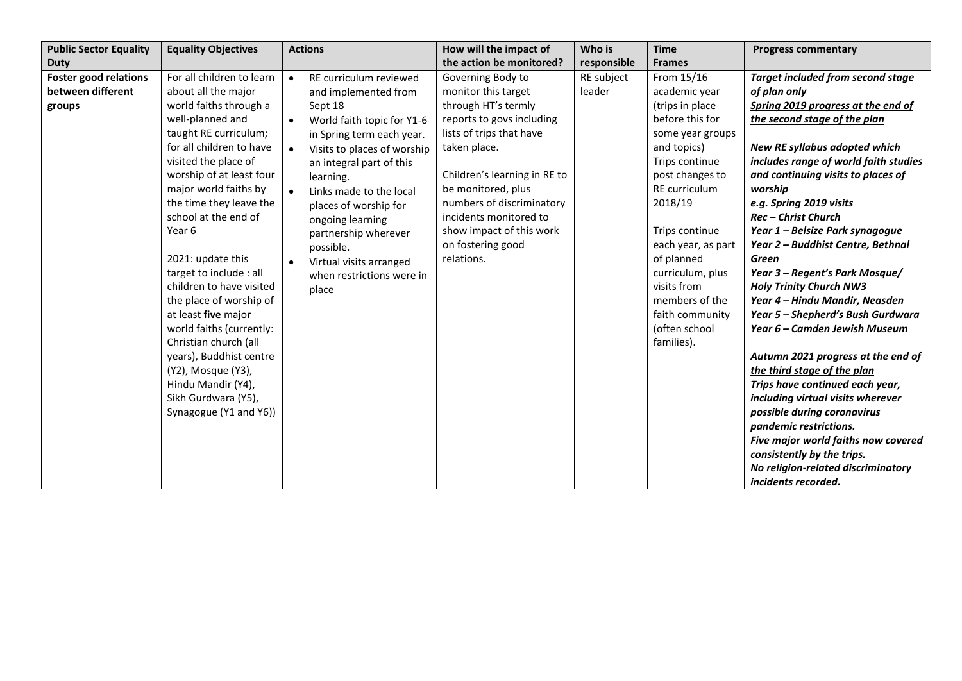| <b>Public Sector Equality</b>                               | <b>Equality Objectives</b>                                                                                                                                                                                                                                                                                                                                                                                                                                                                                                                                                                               | <b>Actions</b>                                                                                                                                                                                                                                                                                                                                                                                                    | How will the impact of                                                                                                                                                                                                                                                                                               | Who is               | <b>Time</b>                                                                                                                                                                                                                                                                                                                        | <b>Progress commentary</b>                                                                                                                                                                                                                                                                                                                                                                                                                                                                                                                                                                                                                                                                                                                                                                                                                                                                                            |
|-------------------------------------------------------------|----------------------------------------------------------------------------------------------------------------------------------------------------------------------------------------------------------------------------------------------------------------------------------------------------------------------------------------------------------------------------------------------------------------------------------------------------------------------------------------------------------------------------------------------------------------------------------------------------------|-------------------------------------------------------------------------------------------------------------------------------------------------------------------------------------------------------------------------------------------------------------------------------------------------------------------------------------------------------------------------------------------------------------------|----------------------------------------------------------------------------------------------------------------------------------------------------------------------------------------------------------------------------------------------------------------------------------------------------------------------|----------------------|------------------------------------------------------------------------------------------------------------------------------------------------------------------------------------------------------------------------------------------------------------------------------------------------------------------------------------|-----------------------------------------------------------------------------------------------------------------------------------------------------------------------------------------------------------------------------------------------------------------------------------------------------------------------------------------------------------------------------------------------------------------------------------------------------------------------------------------------------------------------------------------------------------------------------------------------------------------------------------------------------------------------------------------------------------------------------------------------------------------------------------------------------------------------------------------------------------------------------------------------------------------------|
| Duty                                                        |                                                                                                                                                                                                                                                                                                                                                                                                                                                                                                                                                                                                          |                                                                                                                                                                                                                                                                                                                                                                                                                   | the action be monitored?                                                                                                                                                                                                                                                                                             | responsible          | <b>Frames</b>                                                                                                                                                                                                                                                                                                                      |                                                                                                                                                                                                                                                                                                                                                                                                                                                                                                                                                                                                                                                                                                                                                                                                                                                                                                                       |
| <b>Foster good relations</b><br>between different<br>groups | For all children to learn<br>about all the major<br>world faiths through a<br>well-planned and<br>taught RE curriculum;<br>for all children to have<br>visited the place of<br>worship of at least four<br>major world faiths by<br>the time they leave the<br>school at the end of<br>Year 6<br>2021: update this<br>target to include : all<br>children to have visited<br>the place of worship of<br>at least five major<br>world faiths (currently:<br>Christian church (all<br>years), Buddhist centre<br>(Y2), Mosque (Y3),<br>Hindu Mandir (Y4),<br>Sikh Gurdwara (Y5),<br>Synagogue (Y1 and Y6)) | RE curriculum reviewed<br>$\bullet$<br>and implemented from<br>Sept 18<br>World faith topic for Y1-6<br>$\bullet$<br>in Spring term each year.<br>Visits to places of worship<br>$\bullet$<br>an integral part of this<br>learning.<br>Links made to the local<br>places of worship for<br>ongoing learning<br>partnership wherever<br>possible.<br>Virtual visits arranged<br>when restrictions were in<br>place | Governing Body to<br>monitor this target<br>through HT's termly<br>reports to govs including<br>lists of trips that have<br>taken place.<br>Children's learning in RE to<br>be monitored, plus<br>numbers of discriminatory<br>incidents monitored to<br>show impact of this work<br>on fostering good<br>relations. | RE subject<br>leader | From 15/16<br>academic year<br>(trips in place<br>before this for<br>some year groups<br>and topics)<br>Trips continue<br>post changes to<br>RE curriculum<br>2018/19<br>Trips continue<br>each year, as part<br>of planned<br>curriculum, plus<br>visits from<br>members of the<br>faith community<br>(often school<br>families). | <b>Target included from second stage</b><br>of plan only<br>Spring 2019 progress at the end of<br>the second stage of the plan<br>New RE syllabus adopted which<br>includes range of world faith studies<br>and continuing visits to places of<br>worship<br>e.g. Spring 2019 visits<br><b>Rec-Christ Church</b><br>Year 1 - Belsize Park synagogue<br>Year 2 - Buddhist Centre, Bethnal<br>Green<br>Year 3 - Regent's Park Mosque/<br><b>Holy Trinity Church NW3</b><br>Year 4 - Hindu Mandir, Neasden<br>Year 5 - Shepherd's Bush Gurdwara<br>Year 6 – Camden Jewish Museum<br>Autumn 2021 progress at the end of<br>the third stage of the plan<br>Trips have continued each year,<br>including virtual visits wherever<br>possible during coronavirus<br>pandemic restrictions.<br>Five major world faiths now covered<br>consistently by the trips.<br>No religion-related discriminatory<br>incidents recorded. |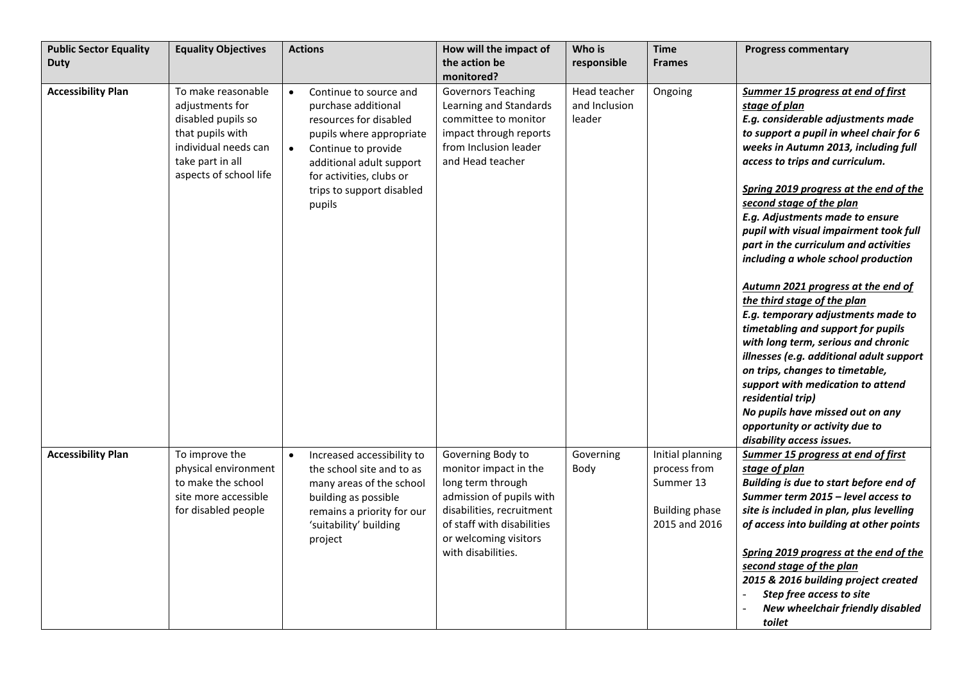| <b>Public Sector Equality</b> | <b>Equality Objectives</b>                                                                                                                            | <b>Actions</b>                                                                                                                                                                                                                                      | How will the impact of                                                                                                                                                                                | Who is                                  | <b>Time</b>                                                                             | <b>Progress commentary</b>                                                                                                                                                                                                                                                                                                                                                                                                                                                                                                                                                                                                                                                                                                                                                                                                                                                             |
|-------------------------------|-------------------------------------------------------------------------------------------------------------------------------------------------------|-----------------------------------------------------------------------------------------------------------------------------------------------------------------------------------------------------------------------------------------------------|-------------------------------------------------------------------------------------------------------------------------------------------------------------------------------------------------------|-----------------------------------------|-----------------------------------------------------------------------------------------|----------------------------------------------------------------------------------------------------------------------------------------------------------------------------------------------------------------------------------------------------------------------------------------------------------------------------------------------------------------------------------------------------------------------------------------------------------------------------------------------------------------------------------------------------------------------------------------------------------------------------------------------------------------------------------------------------------------------------------------------------------------------------------------------------------------------------------------------------------------------------------------|
| <b>Duty</b>                   |                                                                                                                                                       |                                                                                                                                                                                                                                                     | the action be                                                                                                                                                                                         | responsible                             | <b>Frames</b>                                                                           |                                                                                                                                                                                                                                                                                                                                                                                                                                                                                                                                                                                                                                                                                                                                                                                                                                                                                        |
|                               |                                                                                                                                                       |                                                                                                                                                                                                                                                     | monitored?                                                                                                                                                                                            |                                         |                                                                                         |                                                                                                                                                                                                                                                                                                                                                                                                                                                                                                                                                                                                                                                                                                                                                                                                                                                                                        |
| <b>Accessibility Plan</b>     | To make reasonable<br>adjustments for<br>disabled pupils so<br>that pupils with<br>individual needs can<br>take part in all<br>aspects of school life | $\bullet$<br>Continue to source and<br>purchase additional<br>resources for disabled<br>pupils where appropriate<br>$\bullet$<br>Continue to provide<br>additional adult support<br>for activities, clubs or<br>trips to support disabled<br>pupils | <b>Governors Teaching</b><br>Learning and Standards<br>committee to monitor<br>impact through reports<br>from Inclusion leader<br>and Head teacher                                                    | Head teacher<br>and Inclusion<br>leader | Ongoing                                                                                 | Summer 15 progress at end of first<br>stage of plan<br>E.g. considerable adjustments made<br>to support a pupil in wheel chair for 6<br>weeks in Autumn 2013, including full<br>access to trips and curriculum.<br>Spring 2019 progress at the end of the<br>second stage of the plan<br>E.g. Adjustments made to ensure<br>pupil with visual impairment took full<br>part in the curriculum and activities<br>including a whole school production<br>Autumn 2021 progress at the end of<br>the third stage of the plan<br>E.g. temporary adjustments made to<br>timetabling and support for pupils<br>with long term, serious and chronic<br>illnesses (e.g. additional adult support<br>on trips, changes to timetable,<br>support with medication to attend<br>residential trip)<br>No pupils have missed out on any<br>opportunity or activity due to<br>disability access issues. |
| <b>Accessibility Plan</b>     | To improve the<br>physical environment<br>to make the school<br>site more accessible<br>for disabled people                                           | Increased accessibility to<br>$\bullet$<br>the school site and to as<br>many areas of the school<br>building as possible<br>remains a priority for our<br>'suitability' building<br>project                                                         | Governing Body to<br>monitor impact in the<br>long term through<br>admission of pupils with<br>disabilities, recruitment<br>of staff with disabilities<br>or welcoming visitors<br>with disabilities. | Governing<br>Body                       | Initial planning<br>process from<br>Summer 13<br><b>Building phase</b><br>2015 and 2016 | <b>Summer 15 progress at end of first</b><br>stage of plan<br>Building is due to start before end of<br>Summer term 2015 - level access to<br>site is included in plan, plus levelling<br>of access into building at other points<br>Spring 2019 progress at the end of the<br>second stage of the plan<br>2015 & 2016 building project created<br>Step free access to site<br>New wheelchair friendly disabled<br>toilet                                                                                                                                                                                                                                                                                                                                                                                                                                                              |